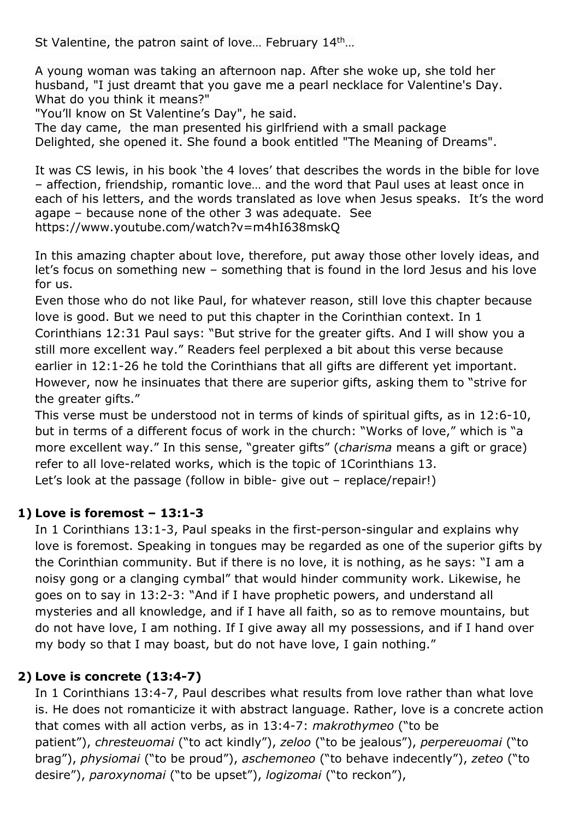St Valentine, the patron saint of love... February 14<sup>th</sup>...

A young woman was taking an afternoon nap. After she woke up, she told her husband, "I just dreamt that you gave me a pearl necklace for Valentine's Day. What do you think it means?"

"You'll know on St Valentine's Day", he said.

The day came, the man presented his girlfriend with a small package Delighted, she opened it. She found a book entitled "The Meaning of Dreams".

It was CS lewis, in his book 'the 4 loves' that describes the words in the bible for love – affection, friendship, romantic love… and the word that Paul uses at least once in each of his letters, and the words translated as love when Jesus speaks. It's the word agape – because none of the other 3 was adequate. See https://www.youtube.com/watch?v=m4hI638mskQ

In this amazing chapter about love, therefore, put away those other lovely ideas, and let's focus on something new – something that is found in the lord Jesus and his love for us.

Even those who do not like Paul, for whatever reason, still love this chapter because love is good. But we need to put this chapter in the Corinthian context. In 1 Corinthians 12:31 Paul says: "But strive for the greater gifts. And I will show you a still more excellent way." Readers feel perplexed a bit about this verse because earlier in 12:1-26 he told the Corinthians that all gifts are different yet important. However, now he insinuates that there are superior gifts, asking them to "strive for the greater gifts."

This verse must be understood not in terms of kinds of spiritual gifts, as in 12:6-10, but in terms of a different focus of work in the church: "Works of love," which is "a more excellent way." In this sense, "greater gifts" (*charisma* means a gift or grace) refer to all love-related works, which is the topic of 1Corinthians 13. Let's look at the passage (follow in bible- give out - replace/repair!)

## **1) Love is foremost – 13:1-3**

In 1 Corinthians 13:1-3, Paul speaks in the first-person-singular and explains why love is foremost. Speaking in tongues may be regarded as one of the superior gifts by the Corinthian community. But if there is no love, it is nothing, as he says: "I am a noisy gong or a clanging cymbal" that would hinder community work. Likewise, he goes on to say in 13:2-3: "And if I have prophetic powers, and understand all mysteries and all knowledge, and if I have all faith, so as to remove mountains, but do not have love, I am nothing. If I give away all my possessions, and if I hand over my body so that I may boast, but do not have love, I gain nothing."

## **2) Love is concrete (13:4-7)**

In 1 Corinthians 13:4-7, Paul describes what results from love rather than what love is. He does not romanticize it with abstract language. Rather, love is a concrete action that comes with all action verbs, as in 13:4-7: *makrothymeo* ("to be patient"), *chresteuomai* ("to act kindly"), *zeloo* ("to be jealous"), *perpereuomai* ("to brag"), *physiomai* ("to be proud"), *aschemoneo* ("to behave indecently"), *zeteo* ("to desire"), *paroxynomai* ("to be upset"), *logizomai* ("to reckon"),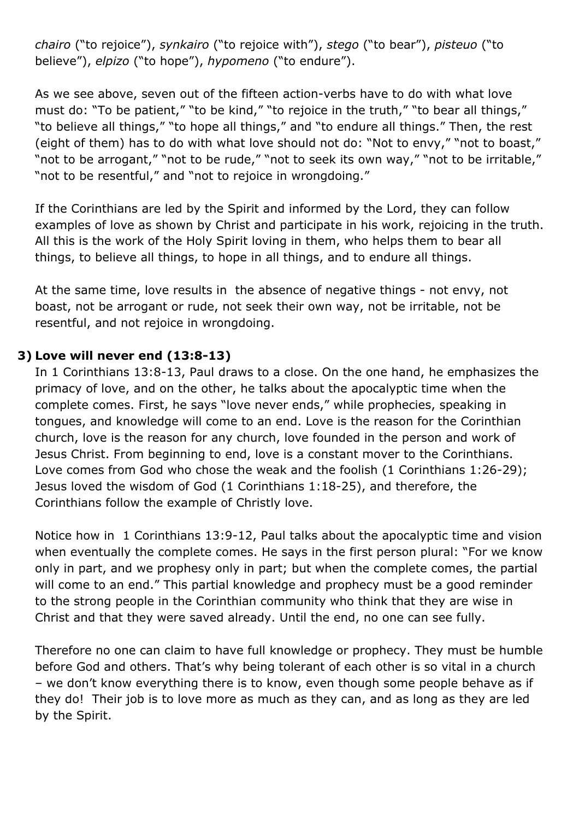*chairo* ("to rejoice"), *synkairo* ("to rejoice with"), *stego* ("to bear"), *pisteuo* ("to believe"), *elpizo* ("to hope"), *hypomeno* ("to endure").

As we see above, seven out of the fifteen action-verbs have to do with what love must do: "To be patient," "to be kind," "to rejoice in the truth," "to bear all things," "to believe all things," "to hope all things," and "to endure all things." Then, the rest (eight of them) has to do with what love should not do: "Not to envy," "not to boast," "not to be arrogant," "not to be rude," "not to seek its own way," "not to be irritable," "not to be resentful," and "not to rejoice in wrongdoing."

If the Corinthians are led by the Spirit and informed by the Lord, they can follow examples of love as shown by Christ and participate in his work, rejoicing in the truth. All this is the work of the Holy Spirit loving in them, who helps them to bear all things, to believe all things, to hope in all things, and to endure all things.

At the same time, love results in the absence of negative things - not envy, not boast, not be arrogant or rude, not seek their own way, not be irritable, not be resentful, and not rejoice in wrongdoing.

## **3) Love will never end (13:8-13)**

In 1 Corinthians 13:8-13, Paul draws to a close. On the one hand, he emphasizes the primacy of love, and on the other, he talks about the apocalyptic time when the complete comes. First, he says "love never ends," while prophecies, speaking in tongues, and knowledge will come to an end. Love is the reason for the Corinthian church, love is the reason for any church, love founded in the person and work of Jesus Christ. From beginning to end, love is a constant mover to the Corinthians. Love comes from God who chose the weak and the foolish (1 Corinthians 1:26-29); Jesus loved the wisdom of God (1 Corinthians 1:18-25), and therefore, the Corinthians follow the example of Christly love.

Notice how in 1 Corinthians 13:9-12, Paul talks about the apocalyptic time and vision when eventually the complete comes. He says in the first person plural: "For we know only in part, and we prophesy only in part; but when the complete comes, the partial will come to an end." This partial knowledge and prophecy must be a good reminder to the strong people in the Corinthian community who think that they are wise in Christ and that they were saved already. Until the end, no one can see fully.

Therefore no one can claim to have full knowledge or prophecy. They must be humble before God and others. That's why being tolerant of each other is so vital in a church – we don't know everything there is to know, even though some people behave as if they do! Their job is to love more as much as they can, and as long as they are led by the Spirit.